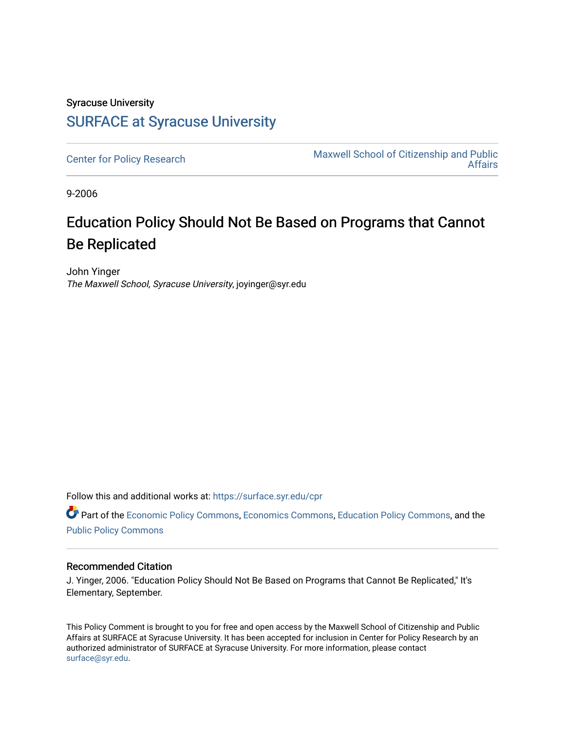## Syracuse University [SURFACE at Syracuse University](https://surface.syr.edu/)

[Center for Policy Research](https://surface.syr.edu/cpr) Maxwell School of Citizenship and Public [Affairs](https://surface.syr.edu/maxwell) 

9-2006

## Education Policy Should Not Be Based on Programs that Cannot Be Replicated

John Yinger The Maxwell School, Syracuse University, joyinger@syr.edu

Follow this and additional works at: [https://surface.syr.edu/cpr](https://surface.syr.edu/cpr?utm_source=surface.syr.edu%2Fcpr%2F353&utm_medium=PDF&utm_campaign=PDFCoverPages) 

Part of the [Economic Policy Commons](http://network.bepress.com/hgg/discipline/1025?utm_source=surface.syr.edu%2Fcpr%2F353&utm_medium=PDF&utm_campaign=PDFCoverPages), [Economics Commons,](http://network.bepress.com/hgg/discipline/340?utm_source=surface.syr.edu%2Fcpr%2F353&utm_medium=PDF&utm_campaign=PDFCoverPages) [Education Policy Commons](http://network.bepress.com/hgg/discipline/1026?utm_source=surface.syr.edu%2Fcpr%2F353&utm_medium=PDF&utm_campaign=PDFCoverPages), and the [Public Policy Commons](http://network.bepress.com/hgg/discipline/400?utm_source=surface.syr.edu%2Fcpr%2F353&utm_medium=PDF&utm_campaign=PDFCoverPages)

## Recommended Citation

J. Yinger, 2006. "Education Policy Should Not Be Based on Programs that Cannot Be Replicated," It's Elementary, September.

This Policy Comment is brought to you for free and open access by the Maxwell School of Citizenship and Public Affairs at SURFACE at Syracuse University. It has been accepted for inclusion in Center for Policy Research by an authorized administrator of SURFACE at Syracuse University. For more information, please contact [surface@syr.edu.](mailto:surface@syr.edu)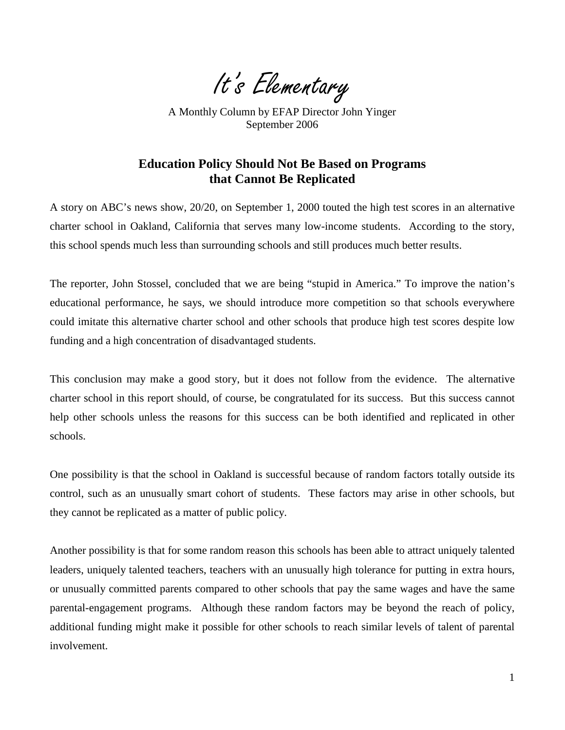It's Elementary

A Monthly Column by EFAP Director John Yinger September 2006

## **Education Policy Should Not Be Based on Programs that Cannot Be Replicated**

A story on ABC's news show, 20/20, on September 1, 2000 touted the high test scores in an alternative charter school in Oakland, California that serves many low-income students. According to the story, this school spends much less than surrounding schools and still produces much better results.

The reporter, John Stossel, concluded that we are being "stupid in America." To improve the nation's educational performance, he says, we should introduce more competition so that schools everywhere could imitate this alternative charter school and other schools that produce high test scores despite low funding and a high concentration of disadvantaged students.

This conclusion may make a good story, but it does not follow from the evidence. The alternative charter school in this report should, of course, be congratulated for its success. But this success cannot help other schools unless the reasons for this success can be both identified and replicated in other schools.

One possibility is that the school in Oakland is successful because of random factors totally outside its control, such as an unusually smart cohort of students. These factors may arise in other schools, but they cannot be replicated as a matter of public policy.

Another possibility is that for some random reason this schools has been able to attract uniquely talented leaders, uniquely talented teachers, teachers with an unusually high tolerance for putting in extra hours, or unusually committed parents compared to other schools that pay the same wages and have the same parental-engagement programs. Although these random factors may be beyond the reach of policy, additional funding might make it possible for other schools to reach similar levels of talent of parental involvement.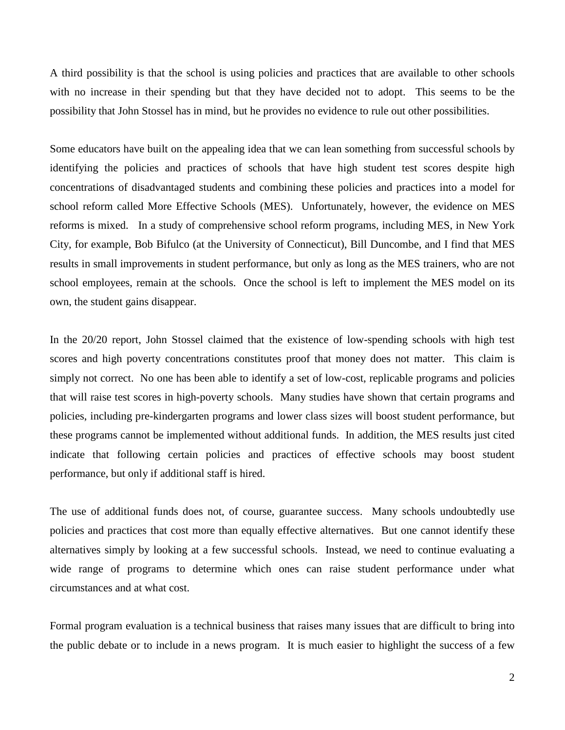A third possibility is that the school is using policies and practices that are available to other schools with no increase in their spending but that they have decided not to adopt. This seems to be the possibility that John Stossel has in mind, but he provides no evidence to rule out other possibilities.

Some educators have built on the appealing idea that we can lean something from successful schools by identifying the policies and practices of schools that have high student test scores despite high concentrations of disadvantaged students and combining these policies and practices into a model for school reform called More Effective Schools (MES). Unfortunately, however, the evidence on MES reforms is mixed. In a study of comprehensive school reform programs, including MES, in New York City, for example, Bob Bifulco (at the University of Connecticut), Bill Duncombe, and I find that MES results in small improvements in student performance, but only as long as the MES trainers, who are not school employees, remain at the schools. Once the school is left to implement the MES model on its own, the student gains disappear.

In the 20/20 report, John Stossel claimed that the existence of low-spending schools with high test scores and high poverty concentrations constitutes proof that money does not matter. This claim is simply not correct. No one has been able to identify a set of low-cost, replicable programs and policies that will raise test scores in high-poverty schools. Many studies have shown that certain programs and policies, including pre-kindergarten programs and lower class sizes will boost student performance, but these programs cannot be implemented without additional funds. In addition, the MES results just cited indicate that following certain policies and practices of effective schools may boost student performance, but only if additional staff is hired.

The use of additional funds does not, of course, guarantee success. Many schools undoubtedly use policies and practices that cost more than equally effective alternatives. But one cannot identify these alternatives simply by looking at a few successful schools. Instead, we need to continue evaluating a wide range of programs to determine which ones can raise student performance under what circumstances and at what cost.

Formal program evaluation is a technical business that raises many issues that are difficult to bring into the public debate or to include in a news program. It is much easier to highlight the success of a few